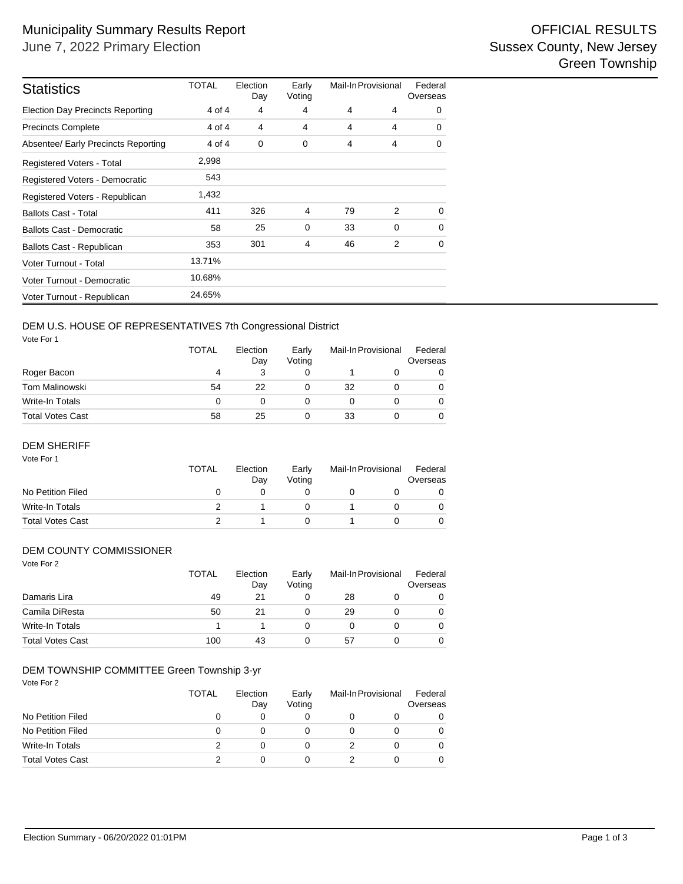| <b>Statistics</b>                       | <b>TOTAL</b> | Election<br>Day | Early<br>Voting | Mail-In Provisional |   | Federal<br>Overseas |
|-----------------------------------------|--------------|-----------------|-----------------|---------------------|---|---------------------|
| <b>Election Day Precincts Reporting</b> | 4 of 4       | 4               | 4               | 4                   | 4 | 0                   |
| <b>Precincts Complete</b>               | 4 of 4       | 4               | 4               | 4                   | 4 | 0                   |
| Absentee/ Early Precincts Reporting     | 4 of 4       | 0               | 0               | 4                   | 4 | 0                   |
| Registered Voters - Total               | 2,998        |                 |                 |                     |   |                     |
| Registered Voters - Democratic          | 543          |                 |                 |                     |   |                     |
| Registered Voters - Republican          | 1,432        |                 |                 |                     |   |                     |
| <b>Ballots Cast - Total</b>             | 411          | 326             | $\overline{4}$  | 79                  | 2 | $\Omega$            |
| <b>Ballots Cast - Democratic</b>        | 58           | 25              | 0               | 33                  | 0 | 0                   |
| Ballots Cast - Republican               | 353          | 301             | 4               | 46                  | 2 | $\Omega$            |
| Voter Turnout - Total                   | 13.71%       |                 |                 |                     |   |                     |
| Voter Turnout - Democratic              | 10.68%       |                 |                 |                     |   |                     |
| Voter Turnout - Republican              | 24.65%       |                 |                 |                     |   |                     |

## DEM U.S. HOUSE OF REPRESENTATIVES 7th Congressional District

Vote For 1

|                  | TOTAL | Election<br>Day | Early<br>Voting | Mail-In Provisional |  | Federal<br>Overseas |
|------------------|-------|-----------------|-----------------|---------------------|--|---------------------|
| Roger Bacon      | 4     |                 |                 |                     |  | 0                   |
| Tom Malinowski   | 54    | 22              |                 | 32                  |  | $\Omega$            |
| Write-In Totals  | 0     |                 |                 |                     |  | 0                   |
| Total Votes Cast | 58    | 25              |                 | 33                  |  | 0                   |

#### DEM SHERIFF

| Vote For 1              | TOTAL    | Election<br>Day | Early<br>Voting | Mail-In Provisional |  | Federal<br>Overseas |
|-------------------------|----------|-----------------|-----------------|---------------------|--|---------------------|
| No Petition Filed       | $\Omega$ |                 |                 |                     |  |                     |
| Write-In Totals         |          |                 |                 |                     |  |                     |
| <b>Total Votes Cast</b> |          |                 |                 |                     |  |                     |

#### DEM COUNTY COMMISSIONER

| Vote For 2              | <b>TOTAL</b> | Election<br>Day | Early<br>Voting | Mail-In Provisional |  | Federal<br>Overseas |  |
|-------------------------|--------------|-----------------|-----------------|---------------------|--|---------------------|--|
|                         |              |                 |                 |                     |  |                     |  |
| Damaris Lira            | 49           | 21              | 0               | 28                  |  | 0                   |  |
| Camila DiResta          | 50           | 21              | 0               | 29                  |  | 0                   |  |
| Write-In Totals         |              |                 | 0               | 0                   |  | 0                   |  |
| <b>Total Votes Cast</b> | 100          | 43              | 0               | 57                  |  | 0                   |  |

## DEM TOWNSHIP COMMITTEE Green Township 3-yr

| Vote For 2              | <b>TOTAL</b> | Election<br>Day | Early<br>Voting | Mail-In Provisional |   | Federal<br>Overseas |
|-------------------------|--------------|-----------------|-----------------|---------------------|---|---------------------|
| No Petition Filed       | 0            | 0               | 0               |                     |   |                     |
| No Petition Filed       | 0            | 0               | 0               |                     |   |                     |
| Write-In Totals         | 2            | 0               | 0               |                     | 0 |                     |
| <b>Total Votes Cast</b> |              | 0               | 0               |                     |   |                     |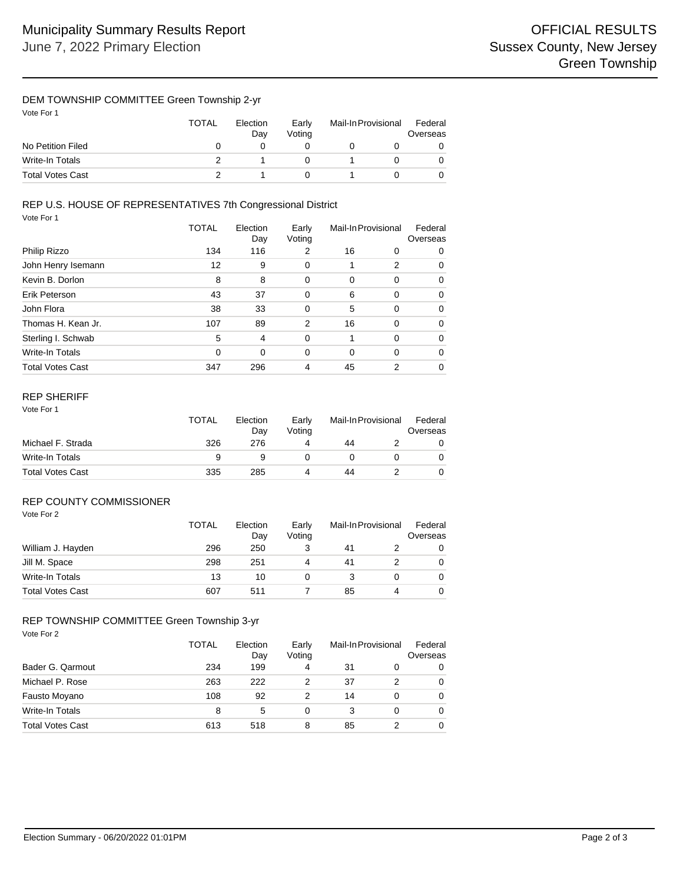## DEM TOWNSHIP COMMITTEE Green Township 2-yr

| Vote For 1 |
|------------|
|------------|

|                   | <b>TOTAL</b> | Election<br>Dav | Early<br>Votina | Mail-In Provisional |  | Federal<br>Overseas |  |
|-------------------|--------------|-----------------|-----------------|---------------------|--|---------------------|--|
| No Petition Filed |              |                 |                 |                     |  |                     |  |
| Write-In Totals   |              |                 |                 |                     |  |                     |  |
| Total Votes Cast  |              |                 |                 |                     |  |                     |  |

#### Vote For 1 REP U.S. HOUSE OF REPRESENTATIVES 7th Congressional District

|                         | TOTAL | Election<br>Day | Early<br>Voting | Mail-In Provisional |                | Federal<br>Overseas |
|-------------------------|-------|-----------------|-----------------|---------------------|----------------|---------------------|
| Philip Rizzo            | 134   | 116             | 2               | 16                  | 0              | 0                   |
| John Henry Isemann      | 12    | 9               | 0               |                     | 2              | $\Omega$            |
| Kevin B. Dorlon         | 8     | 8               | 0               | 0                   | 0              | 0                   |
| Erik Peterson           | 43    | 37              | 0               | 6                   | 0              | 0                   |
| John Flora              | 38    | 33              | 0               | 5                   | $\mathbf 0$    | 0                   |
| Thomas H. Kean Jr.      | 107   | 89              | 2               | 16                  | 0              | $\Omega$            |
| Sterling I. Schwab      | 5     | 4               | 0               |                     | 0              | 0                   |
| Write-In Totals         | 0     | 0               | 0               | $\Omega$            | $\Omega$       | 0                   |
| <b>Total Votes Cast</b> | 347   | 296             | 4               | 45                  | $\mathfrak{p}$ | 0                   |

# REP SHERIFF

|                         | TOTAL | Election<br>Dav | Early<br>Votina | Mail-In Provisional |  | Federal<br>Overseas |  |
|-------------------------|-------|-----------------|-----------------|---------------------|--|---------------------|--|
| Michael F. Strada       | 326   | 276             |                 | 44                  |  |                     |  |
| Write-In Totals         | a     |                 |                 |                     |  |                     |  |
| <b>Total Votes Cast</b> | 335   | 285             |                 | 44                  |  |                     |  |

## REP COUNTY COMMISSIONER

| Vote For 2 |  |
|------------|--|
|            |  |

|                         | <b>TOTAL</b> | Election<br>Day | Early<br>Voting | Mail-In Provisional |   | Federal<br>Overseas |
|-------------------------|--------------|-----------------|-----------------|---------------------|---|---------------------|
| William J. Hayden       | 296          | 250             |                 | 41                  |   | 0                   |
| Jill M. Space           | 298          | 251             | 4               | 41                  |   | 0                   |
| Write-In Totals         | 13           | 10              |                 |                     |   | 0                   |
| <b>Total Votes Cast</b> | 607          | 511             |                 | 85                  | 4 | $\Omega$            |

### REP TOWNSHIP COMMITTEE Green Township 3-yr

Vote For 2

|                         | TOTAL<br>234 | Election<br>Day<br>199 | Early<br>Voting<br>4 | Mail-In Provisional |   | Federal<br>Overseas |
|-------------------------|--------------|------------------------|----------------------|---------------------|---|---------------------|
| Bader G. Qarmout        |              |                        |                      | 31                  | 0 |                     |
| Michael P. Rose         | 263          | 222                    | 2                    | 37                  | 2 |                     |
| Fausto Moyano           | 108          | 92                     | 2                    | 14                  | 0 |                     |
| <b>Write-In Totals</b>  | 8            | 5                      | 0                    | 3                   | 0 |                     |
| <b>Total Votes Cast</b> | 613          | 518                    | 8                    | 85                  | っ |                     |